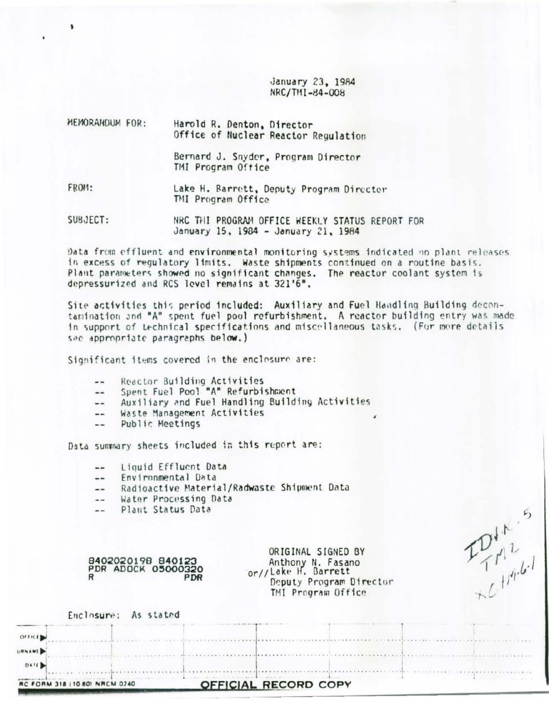January 23, 1984 NRC/TMI-84-008

| MEMORANDUM FOR: | Harold R. Denton, Director<br>Office of Nuclear Reactor Regulation |
|-----------------|--------------------------------------------------------------------|
|                 | Bernard J. Snyder, Program Director<br>TMI Program Office          |
| FROM:           | Lake H. Barrett, Deputy Program Director<br>TMI Program Office     |
|                 |                                                                    |

SUBJECT: NRC THI PROGRAM OFFICE WEEKLY STATUS REPORT FOR January 15, 1984 - January 21, 1984

Data from effluent and environmental monitoring systems indicated no plant releases in excess of regulatory limits. Waste shipments continued on a routine basis. Plant parameters showed no significant changes. The reactor coolant system is depressurized and RCS level remains at 321'6".

Site activities this period included: Auxiliary and Fuel Handling Building decontamination and "A" spent fuel pool refurbishment. A reactor building entry was made in support of technical specifications and miscellaneous tasks. (For more details sec appropriate paragraphs below.)

Significant items covered in the enclosure are:

- Reactor Building Activities  $-1$
- Spent Fuel Pool "A" Refurbishment  $-1$
- Auxiliary and Fuel Handling Building Activities  $-1$
- Waste Management Activities  $- -$
- Public Meetings  $-1$

Data summary sheets included in this report are:

- Liouid Effluent Data  $-1$
- Environmental Data  $\frac{1}{2}$
- Radioactive Material/Radwaste Shipment Data  $- -$
- Water Processing Data  $\sim$
- Plant Status Data  $\sim$

|   | 8402020198 840123  |
|---|--------------------|
|   | PDR ADOCK 05000320 |
| R | PDR                |

| Water Processing Data<br>Plant Status Data                 |                                                                                                                 |  |
|------------------------------------------------------------|-----------------------------------------------------------------------------------------------------------------|--|
| 8402020198 840123<br>PDR ADOCK 05000320<br>R<br><b>PDR</b> | ORIGINAL SIGNED BY<br>Anthony N. Fasano<br>or//Lake H. Barrett<br>Deputy Program Director<br>TMI Program Office |  |
| Enclosure: As stated                                       |                                                                                                                 |  |
| OFFICER                                                    |                                                                                                                 |  |
| URNAME<br>DATE                                             |                                                                                                                 |  |
| 318 (10 80) NRCM 0240<br><b>RC FORM</b>                    | OFFICIAL RECORD COPY                                                                                            |  |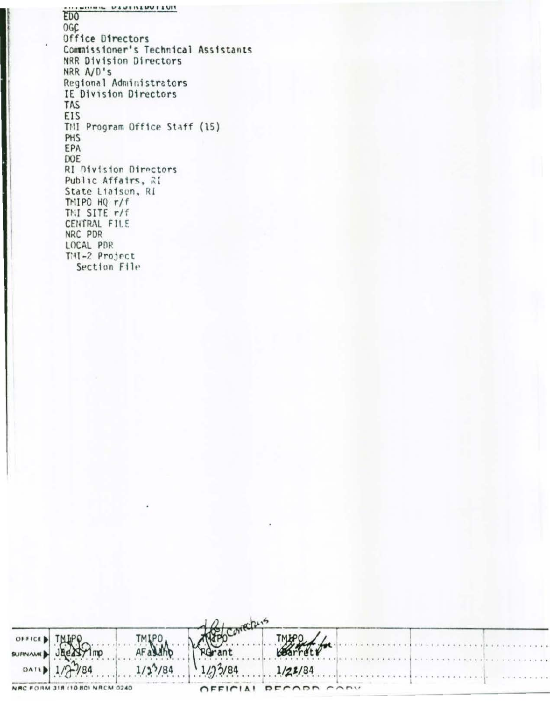**MOTIONAL DESIGNATION** ED<sub>0</sub> **OGC** Office Directors Commissioner's Technical Assistants NRR Division Directors NRR A/D's Regional Administrators IE Division Directors TAS EIS TNI Program Office Staff (15) PHS EPA DOE RI Division Directors Public Affairs, RI State Liaison, RI TMIPO HQ r/f TMI SITE r/f CENTRAL FILE NRC PDR LOCAL PDR THI-2 Project Section File

| OFFICE   |                                |              |          |             |  |  |                 |  |
|----------|--------------------------------|--------------|----------|-------------|--|--|-----------------|--|
| SURNAME) | am i                           |              |          |             |  |  |                 |  |
| DATL     | $1/2^{7/84}$                   | $1/2^{5}/84$ | 1/2/3/84 | 1/23/84     |  |  |                 |  |
|          | NRC FORM 318 (10 80) NRCM 0240 |              | OEFICIA1 | DECADA CABY |  |  | $A = 9 - 6 - 8$ |  |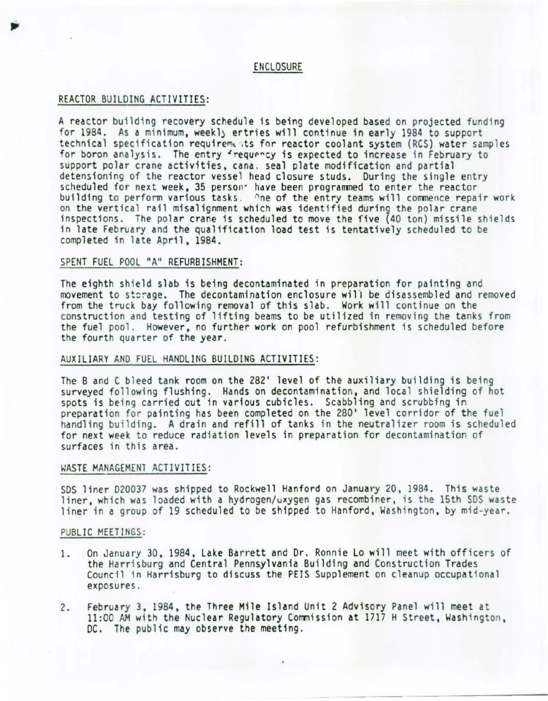#### ENCLOSURE

### REACTOR BUILDING ACTIVITIES:

A reactor building recovery schedule is being developed based on projected funding for 1984. As a minimum, weekly ertries will continue in early 1984 to support technical specification requirements for reactor coolant system (RCS) water samples for boron analysis. The entry frequency is expected to increase in February to support polar crane activities, cana. seal plate modification and partial support polar crane activities, cana. seal plate modification and partial<br>detensioning of the reactor vessel head closure studs. During the single entry<br>scheduled for next week, 35 persons have been programmed to enter the building to perform various tasks. One of the entry teams will commence repair work on the vertical rail misalignment which was identified during the polar crane inspections. The polar crane is scheduled to move the five (40 ton) missile shields in late February and the qualification load test is tentatively scheduled to be completed in late April, 1984.

#### SPENT FUEL POOL "A" REFURBISHMENT:

The eighth shield slab is being decontaminated in preparation for painting and movement to storage. The decontamination enclosure will be disassembled and removed from the truck bay following removal of this slab. Work will continue on the construction and testing of lifting beams to be utilized in removing the tanks from the fuel pool. However, no further work on pool refurbishment is scheduled before the fourth quarter of the year.

#### AUXIL IARY AND FUEL HANDLING BUILDING ACTIVITIES:

The B and C bleed tank room on the 282' level of the auxiliary building is being<br>surveyed following flushing. Hands on decontamination, and local shielding of hot spots is being carried out in various cubicles. Scabbling and scrubbing in preparation for painting has been completed on the 280' level corridor of the fuel handling building. A drain and refill of tanks in the neutralizer room is scheduled for next week to reduce radiation levels in preparation for decontamination of surfaces in this area.

#### WASTE MANAGEMENT ACTIVITIES:

SDS liner D20037 was shipped to Rockwell Hanford on January 20, 1984. This waste liner, which was loaded with a hydrogen/oxygen gas recombiner, is the 15th SDS waste liner in a group of 19 scheduled to be shipped to Hanford, Washington, by mid-year.

#### PUBLIC MEETINGS:

- 1. On January 30, 1984, Lake Barrett and Dr. Ronnie Lo will meet with officers of the Harrisburg and Central Pennsylvania Building and Construction Trades Council in Harrisburg to discuss the PElS Supplement on cleanup occupational exposures.
- 2. February 3, 1984, the Three Mile Island Unit 2 Advisory Panel will meet at 11:00 AM with the Nuclear Regulatory Commission at 1717 H Street, Washington, DC. The public may observe the meeting.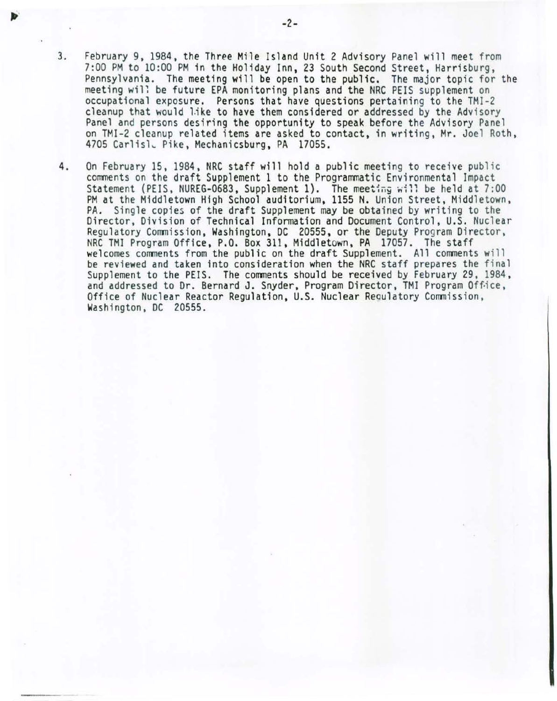- 3. February 9, 1984, the Three Mile Island Unit 2 Advisory Panel will meet from<br>7:00 PM to 10:00 PM in the Holiday Inn, 23 South Second Street, Harrisburg, Pennsylvania. The meeting will be open to the public. The major topic for the meeting will be future EPA monitoring plans and the NRC PEIS supplement on occupational exposure. Persons that have questions pertaining to the TMI-2 cleanup that would like to have them considered or addressed by the Advisory<br>Panel and persons desiring the opportunity to speak before the Advisory Panel on TMI-2 cleanup related items are asked to contact, in writing, Mr. Joel Roth, 4705 Carlisl. Pike, Mechanicsburg, PA 17055.
- 4. On February 15, 1984, NRC staff will hold a public meeting to receive public comments on the draft Supplement 1 to the Programmatic Environmental Impact Statement (PEIS, NUREG-0683, Supplement 1). The meeting will be held at  $7:00$ PM at the Middletown High School auditorium, 1155 N. Union Street, Middletown, PA. Single copies of the draft Supplement may be obtained by writing to the Director, Division of Technical Information and Document Control, U.S. Nuclear Regulatory Commission, Washington, DC 20555, or the Deputy Program Director, NRC TMI Program Office, P.O. Box 311, Middletown, PA 17057. The staff welcomes comments from the public on the draft Supplement. All comments will be reviewed and taken into consideration when the NRC staff prepares the final Supplement to the PEIS. The comments should be received by February 29, 1984, and addressed to Dr. Bernard J. Snyder, Program Director, TMI Program Office, Office of Nuclear Reactor Regulation, U.S. Nuclear Regulatory Commission, Washington, DC 20555.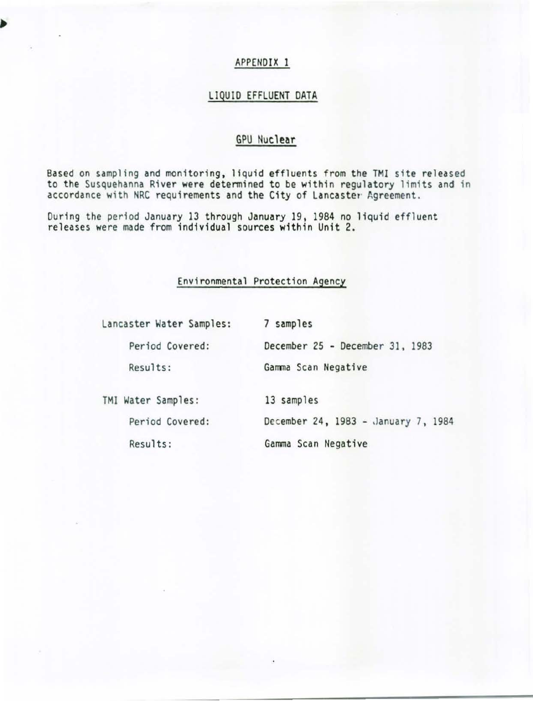# LIQUID EFFLUENT DATA

# GPU Nuclear

Based on sampling and monitoring, liquid effluents from the TMI site released to the Susquehanna River were determined to be within regulatory limits and in accordance with NRC requirements and the City of Lancaster Agreement.

During the period January 13 through January 19, 1984 no liquid effluent releases were made from indiv idual sources within Unit 2.

## Environmental Protection Agency

| Lancaster Water Samples: | 7 samples                           |
|--------------------------|-------------------------------------|
| Period Covered:          | December 25 - December 31, 1983     |
| Results:                 | Gamma Scan Negative                 |
| TMI Water Samples:       | 13 samples                          |
| Period Covered:          | December 24, 1983 - January 7, 1984 |
| Results:                 | Gamma Scan Negative                 |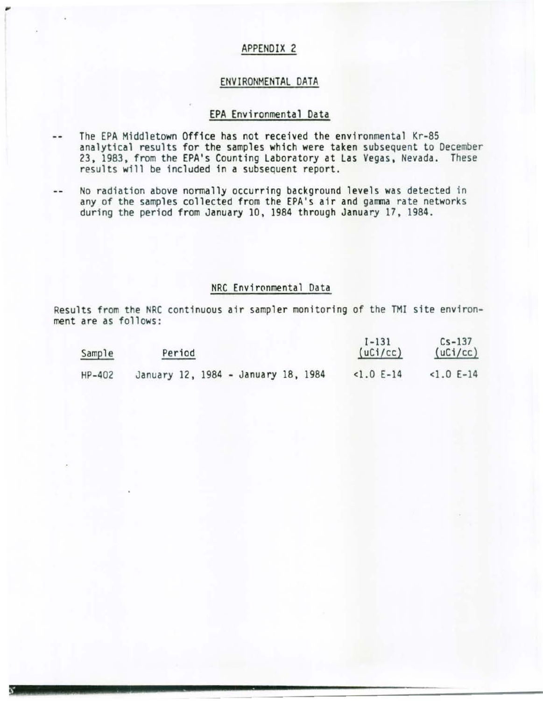#### EN VIRONMENTAL DATA

#### EPA Envi ronmental Data

- The EPA Middletown Office has not received the environmental Kr-85  $-1$ analytical results for the samples which were taken subsequent to December 23, 1983, from the EPA's Counting Laboratory at Las Vegas, Nevada. These results will be included in a subsequent report.
- No radiation above normally occurring background levels was detected in  $$ any of the samples collected from the EPA 's air and gamma rate networks during the period from January 10, 1984 through January 17, 1984.

## NRC Environmental Data

Results from the NRC continuous air sampler monitoring of the TMI site environment are as follows:

| Sample   | Period                              | $1 - 131$<br>(uCi/cc) | $Cs - 137$<br>(uCi/cc) |
|----------|-------------------------------------|-----------------------|------------------------|
| $HP-402$ | January 12, 1984 - January 18, 1984 | $<1.0 E-14$           | $<1.0 E-14$            |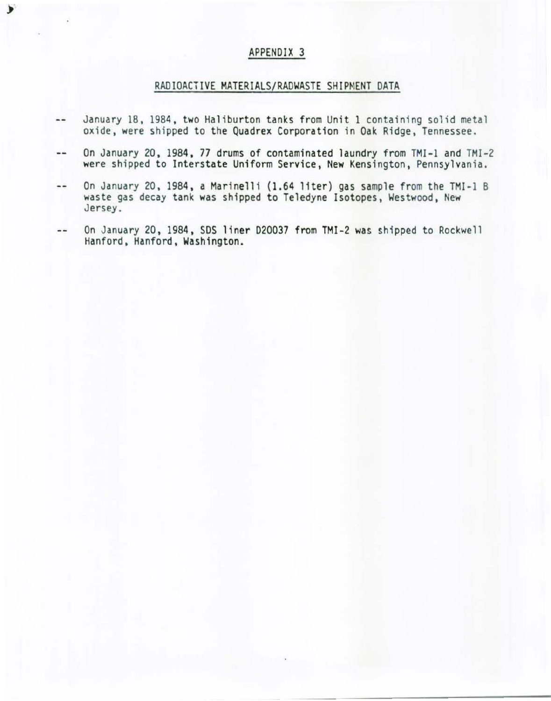۶

## RADIOACTIVE MATERIALS/RADWASTE SHIPMENT DATA

- $-$ January 18, 1984, two Haliburton tanks from Unit 1 containing so1id metal oxide, were shipped to the Quadrex Corporation in Oak Ridge, Tennessee.
- On January 20, 1984, 77 drums of contaminated laundry from TMI-1 and TMI-2  $-1$ were shipped to Interstate Uniform Service, New Kensington, Pennsylvania.
- On January 20, 1984, a Marinelli (1.64 liter) gas sample from the TMI-1 B  $\cdots$ waste gas decay tank was shipped to Teledyne Isotopes, Westwood, New Jersey.
- On January 20, 1984, SDS liner D20037 from TMI-2 was shipped to Rockwell  $\overline{\phantom{a}}$  . Hanford, Hanford, Washington.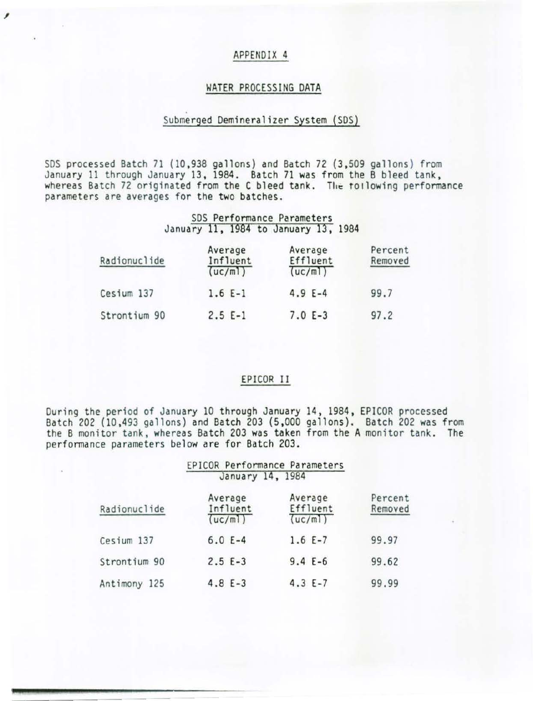### WATER PROCESSING DATA

## Submerged Oemineralizer System (SDS)

SDS processed Batch 71 (10,938 gallons) and Batch 72 (3,509 gallons) from January 11 through January 13, 1984. Batch 71 was from the B bleed tank, whereas Batch 72 originated from the C bleed tank. The tollowing performance parameters are averages for the two batches.

#### SOS Performance Parameters January 11, 1984 to January 13, 1984

| Radionuclide | Average<br>Influent<br>(uc/m!) | Average<br>Effluent<br>(uc/m) | Percent<br>Removed |
|--------------|--------------------------------|-------------------------------|--------------------|
| Cesium 137   | $1.6E-1$                       | $4.9 E-4$                     | 99.7               |
| Strontium 90 | $2.5 E-1$                      | $7.0 E-3$                     | 97.2               |

#### EPICOR II

During the period of January 10 through January 14, 1984, EPICOR processed Batch 202 (10,493 gallons} and Batch 203 (5 ,000 gallons). Batch 202 was from the B monitor tank, whereas Batch 203 was taken from the A monitor tank. The performance parameters below are for Batch 203.

|              | EPICOR Performance Parameters<br>January 14, 1984 |                                |                    |
|--------------|---------------------------------------------------|--------------------------------|--------------------|
| Radionuclide | Average<br>Influent<br>(uc/m)                     | Average<br>Effluent<br>(uc/ml) | Percent<br>Removed |
| Cesium 137   | $6.0 E-4$                                         | $1.6 E-7$                      | 99.97              |
| Strontium 90 | $2.5 E-3$                                         | $9.4 E-6$                      | 99.62              |
| Antimony 125 | $4.8 E-3$                                         | $4.3 E-7$                      | 99.99              |